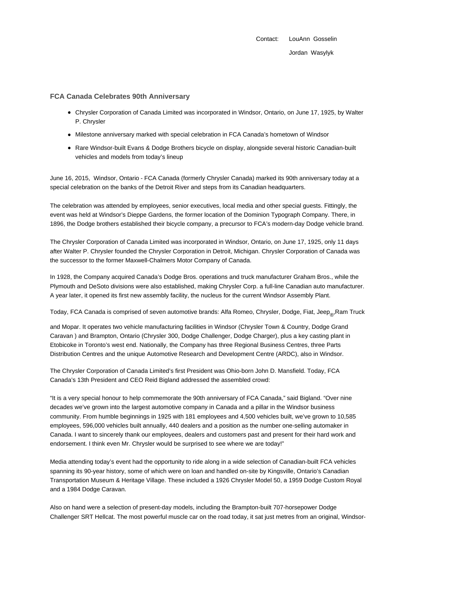Contact: LouAnn Gosselin Jordan Wasylyk

## **FCA Canada Celebrates 90th Anniversary**

- Chrysler Corporation of Canada Limited was incorporated in Windsor, Ontario, on June 17, 1925, by Walter P. Chrysler
- Milestone anniversary marked with special celebration in FCA Canada's hometown of Windsor
- Rare Windsor-built Evans & Dodge Brothers bicycle on display, alongside several historic Canadian-built vehicles and models from today's lineup

June 16, 2015, Windsor, Ontario - FCA Canada (formerly Chrysler Canada) marked its 90th anniversary today at a special celebration on the banks of the Detroit River and steps from its Canadian headquarters.

The celebration was attended by employees, senior executives, local media and other special guests. Fittingly, the event was held at Windsor's Dieppe Gardens, the former location of the Dominion Typograph Company. There, in 1896, the Dodge brothers established their bicycle company, a precursor to FCA's modern-day Dodge vehicle brand.

The Chrysler Corporation of Canada Limited was incorporated in Windsor, Ontario, on June 17, 1925, only 11 days after Walter P. Chrysler founded the Chrysler Corporation in Detroit, Michigan. Chrysler Corporation of Canada was the successor to the former Maxwell-Chalmers Motor Company of Canada.

In 1928, the Company acquired Canada's Dodge Bros. operations and truck manufacturer Graham Bros., while the Plymouth and DeSoto divisions were also established, making Chrysler Corp. a full-line Canadian auto manufacturer. A year later, it opened its first new assembly facility, the nucleus for the current Windsor Assembly Plant.

Today, FCA Canada is comprised of seven automotive brands: Alfa Romeo, Chrysler, Dodge, Fiat, Jeep<sub>®</sub>,Ram Truck

and Mopar. It operates two vehicle manufacturing facilities in Windsor (Chrysler Town & Country, Dodge Grand Caravan ) and Brampton, Ontario (Chrysler 300, Dodge Challenger, Dodge Charger), plus a key casting plant in Etobicoke in Toronto's west end. Nationally, the Company has three Regional Business Centres, three Parts Distribution Centres and the unique Automotive Research and Development Centre (ARDC), also in Windsor.

The Chrysler Corporation of Canada Limited's first President was Ohio-born John D. Mansfield. Today, FCA Canada's 13th President and CEO Reid Bigland addressed the assembled crowd:

"It is a very special honour to help commemorate the 90th anniversary of FCA Canada," said Bigland. "Over nine decades we've grown into the largest automotive company in Canada and a pillar in the Windsor business community. From humble beginnings in 1925 with 181 employees and 4,500 vehicles built, we've grown to 10,585 employees, 596,000 vehicles built annually, 440 dealers and a position as the number one-selling automaker in Canada. I want to sincerely thank our employees, dealers and customers past and present for their hard work and endorsement. I think even Mr. Chrysler would be surprised to see where we are today!"

Media attending today's event had the opportunity to ride along in a wide selection of Canadian-built FCA vehicles spanning its 90-year history, some of which were on loan and handled on-site by Kingsville, Ontario's Canadian Transportation Museum & Heritage Village. These included a 1926 Chrysler Model 50, a 1959 Dodge Custom Royal and a 1984 Dodge Caravan.

Also on hand were a selection of present-day models, including the Brampton-built 707-horsepower Dodge Challenger SRT Hellcat. The most powerful muscle car on the road today, it sat just metres from an original, Windsor